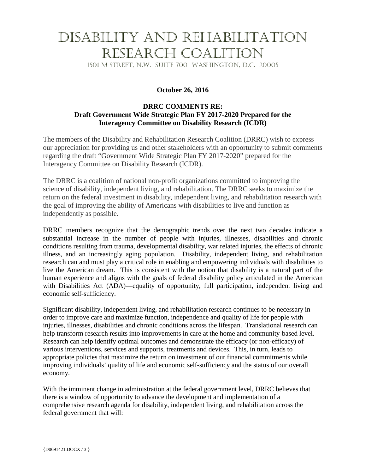# Disability and Rehabilitation Research Coalition

1501 M Street, N.W. Suite 700 Washington, D.C. 20005

### **October 26, 2016**

#### **DRRC COMMENTS RE: Draft Government Wide Strategic Plan FY 2017-2020 Prepared for the Interagency Committee on Disability Research (ICDR)**

The members of the Disability and Rehabilitation Research Coalition (DRRC) wish to express our appreciation for providing us and other stakeholders with an opportunity to submit comments regarding the draft "Government Wide Strategic Plan FY 2017-2020" prepared for the Interagency Committee on Disability Research (ICDR).

The DRRC is a coalition of national non-profit organizations committed to improving the science of disability, independent living, and rehabilitation. The DRRC seeks to maximize the return on the federal investment in disability, independent living, and rehabilitation research with the goal of improving the ability of Americans with disabilities to live and function as independently as possible.

DRRC members recognize that the demographic trends over the next two decades indicate a substantial increase in the number of people with injuries, illnesses, disabilities and chronic conditions resulting from trauma, developmental disability, war related injuries, the effects of chronic illness, and an increasingly aging population. Disability, independent living, and rehabilitation research can and must play a critical role in enabling and empowering individuals with disabilities to live the American dream. This is consistent with the notion that disability is a natural part of the human experience and aligns with the goals of federal disability policy articulated in the American with Disabilities Act (ADA)—equality of opportunity, full participation, independent living and economic self-sufficiency.

Significant disability, independent living, and rehabilitation research continues to be necessary in order to improve care and maximize function, independence and quality of life for people with injuries, illnesses, disabilities and chronic conditions across the lifespan. Translational research can help transform research results into improvements in care at the home and community-based level. Research can help identify optimal outcomes and demonstrate the efficacy (or non-efficacy) of various interventions, services and supports, treatments and devices. This, in turn, leads to appropriate policies that maximize the return on investment of our financial commitments while improving individuals' quality of life and economic self-sufficiency and the status of our overall economy.

With the imminent change in administration at the federal government level, DRRC believes that there is a window of opportunity to advance the development and implementation of a comprehensive research agenda for disability, independent living, and rehabilitation across the federal government that will: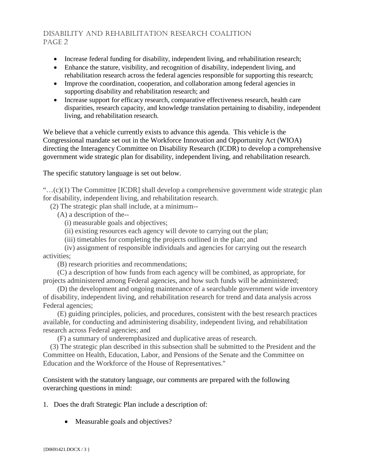# Disability and Rehabilitation Research Coalition PAGE<sub>2</sub>

- Increase federal funding for disability, independent living, and rehabilitation research;
- Enhance the stature, visibility, and recognition of disability, independent living, and rehabilitation research across the federal agencies responsible for supporting this research;
- Improve the coordination, cooperation, and collaboration among federal agencies in supporting disability and rehabilitation research; and
- Increase support for efficacy research, comparative effectiveness research, health care disparities, research capacity, and knowledge translation pertaining to disability, independent living, and rehabilitation research.

We believe that a vehicle currently exists to advance this agenda. This vehicle is the Congressional mandate set out in the Workforce Innovation and Opportunity Act (WIOA) directing the Interagency Committee on Disability Research (ICDR) to develop a comprehensive government wide strategic plan for disability, independent living, and rehabilitation research.

The specific statutory language is set out below.

"…(c)(1) The Committee [ICDR] shall develop a comprehensive government wide strategic plan for disability, independent living, and rehabilitation research.

(2) The strategic plan shall include, at a minimum--

(A) a description of the--

- (i) measurable goals and objectives;
- (ii) existing resources each agency will devote to carrying out the plan;
- (iii) timetables for completing the projects outlined in the plan; and

 (iv) assignment of responsible individuals and agencies for carrying out the research activities;

(B) research priorities and recommendations;

 (C) a description of how funds from each agency will be combined, as appropriate, for projects administered among Federal agencies, and how such funds will be administered;

 (D) the development and ongoing maintenance of a searchable government wide inventory of disability, independent living, and rehabilitation research for trend and data analysis across Federal agencies;

 (E) guiding principles, policies, and procedures, consistent with the best research practices available, for conducting and administering disability, independent living, and rehabilitation research across Federal agencies; and

(F) a summary of underemphasized and duplicative areas of research.

 (3) The strategic plan described in this subsection shall be submitted to the President and the Committee on Health, Education, Labor, and Pensions of the Senate and the Committee on Education and the Workforce of the House of Representatives.''

Consistent with the statutory language, our comments are prepared with the following overarching questions in mind:

1. Does the draft Strategic Plan include a description of:

• Measurable goals and objectives?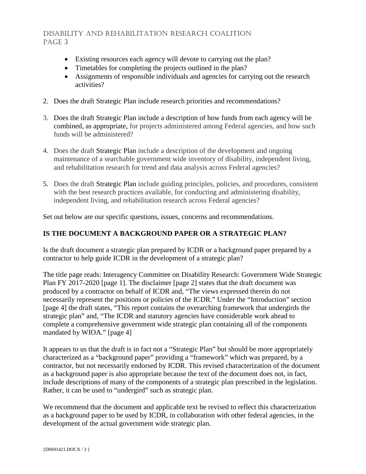# Disability and Rehabilitation Research Coalition PAGE<sub>3</sub>

- Existing resources each agency will devote to carrying out the plan?
- Timetables for completing the projects outlined in the plan?
- Assignments of responsible individuals and agencies for carrying out the research activities?
- 2. Does the draft Strategic Plan include research priorities and recommendations?
- 3. Does the draft Strategic Plan include a description of how funds from each agency will be combined, as appropriate, for projects administered among Federal agencies, and how such funds will be administered?
- 4. Does the draft Strategic Plan include a description of the development and ongoing maintenance of a searchable government wide inventory of disability, independent living, and rehabilitation research for trend and data analysis across Federal agencies?
- 5. Does the draft Strategic Plan include guiding principles, policies, and procedures, consistent with the best research practices available, for conducting and administering disability, independent living, and rehabilitation research across Federal agencies?

Set out below are our specific questions, issues, concerns and recommendations.

#### **IS THE DOCUMENT A BACKGROUND PAPER OR A STRATEGIC PLAN?**

Is the draft document a strategic plan prepared by ICDR or a background paper prepared by a contractor to help guide ICDR in the development of a strategic plan?

The title page reads: Interagency Committee on Disability Research: Government Wide Strategic Plan FY 2017-2020 [page 1]. The disclaimer [page 2] states that the draft document was produced by a contractor on behalf of ICDR and, "The views expressed therein do not necessarily represent the positions or policies of the ICDR." Under the "Introduction" section [page 4] the draft states, "This report contains the overarching framework that undergirds the strategic plan" and, "The ICDR and statutory agencies have considerable work ahead to complete a comprehensive government wide strategic plan containing all of the components mandated by WIOA." [page 4]

It appears to us that the draft is in fact not a "Strategic Plan" but should be more appropriately characterized as a "background paper" providing a "framework" which was prepared, by a contractor, but not necessarily endorsed by ICDR. This revised characterization of the document as a background paper is also appropriate because the text of the document does not, in fact, include descriptions of many of the components of a strategic plan prescribed in the legislation. Rather, it can be used to "undergird" such as strategic plan.

We recommend that the document and applicable text be revised to reflect this characterization as a background paper to be used by ICDR, in collaboration with other federal agencies, in the development of the actual government wide strategic plan.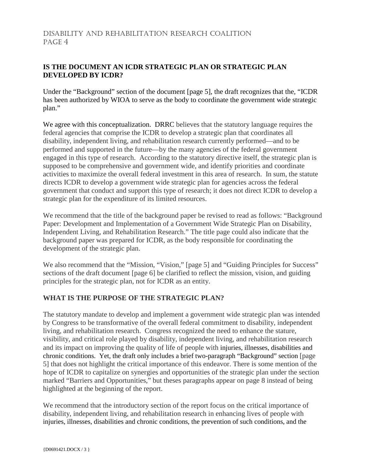# Disability and Rehabilitation Research Coalition PAGE<sub>4</sub>

# **IS THE DOCUMENT AN ICDR STRATEGIC PLAN OR STRATEGIC PLAN DEVELOPED BY ICDR?**

Under the "Background" section of the document [page 5], the draft recognizes that the, "ICDR has been authorized by WIOA to serve as the body to coordinate the government wide strategic plan."

We agree with this conceptualization. DRRC believes that the statutory language requires the federal agencies that comprise the ICDR to develop a strategic plan that coordinates all disability, independent living, and rehabilitation research currently performed—and to be performed and supported in the future—by the many agencies of the federal government engaged in this type of research. According to the statutory directive itself, the strategic plan is supposed to be comprehensive and government wide, and identify priorities and coordinate activities to maximize the overall federal investment in this area of research. In sum, the statute directs ICDR to develop a government wide strategic plan for agencies across the federal government that conduct and support this type of research; it does not direct ICDR to develop a strategic plan for the expenditure of its limited resources.

We recommend that the title of the background paper be revised to read as follows: "Background Paper: Development and Implementation of a Government Wide Strategic Plan on Disability, Independent Living, and Rehabilitation Research." The title page could also indicate that the background paper was prepared for ICDR, as the body responsible for coordinating the development of the strategic plan.

We also recommend that the "Mission, "Vision," [page 5] and "Guiding Principles for Success" sections of the draft document [page 6] be clarified to reflect the mission, vision, and guiding principles for the strategic plan, not for ICDR as an entity.

### **WHAT IS THE PURPOSE OF THE STRATEGIC PLAN?**

The statutory mandate to develop and implement a government wide strategic plan was intended by Congress to be transformative of the overall federal commitment to disability, independent living, and rehabilitation research. Congress recognized the need to enhance the stature, visibility, and critical role played by disability, independent living, and rehabilitation research and its impact on improving the quality of life of people with injuries, illnesses, disabilities and chronic conditions. Yet, the draft only includes a brief two-paragraph "Background" section [page 5] that does not highlight the critical importance of this endeavor. There is some mention of the hope of ICDR to capitalize on synergies and opportunities of the strategic plan under the section marked "Barriers and Opportunities," but theses paragraphs appear on page 8 instead of being highlighted at the beginning of the report.

We recommend that the introductory section of the report focus on the critical importance of disability, independent living, and rehabilitation research in enhancing lives of people with injuries, illnesses, disabilities and chronic conditions, the prevention of such conditions, and the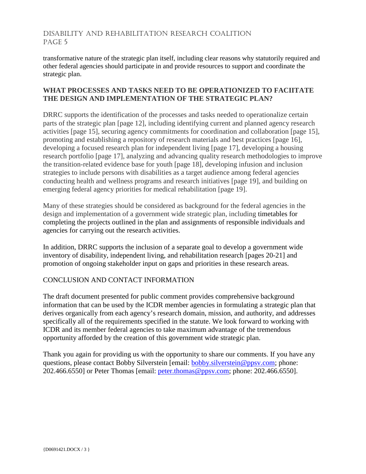# Disability and Rehabilitation Research Coalition PAGE<sub>5</sub>

transformative nature of the strategic plan itself, including clear reasons why statutorily required and other federal agencies should participate in and provide resources to support and coordinate the strategic plan.

### **WHAT PROCESSES AND TASKS NEED TO BE OPERATIONIZED TO FACIITATE THE DESIGN AND IMPLEMENTATION OF THE STRATEGIC PLAN?**

DRRC supports the identification of the processes and tasks needed to operationalize certain parts of the strategic plan [page 12], including identifying current and planned agency research activities [page 15], securing agency commitments for coordination and collaboration [page 15], promoting and establishing a repository of research materials and best practices [page 16], developing a focused research plan for independent living [page 17], developing a housing research portfolio [page 17], analyzing and advancing quality research methodologies to improve the transition-related evidence base for youth [page 18], developing infusion and inclusion strategies to include persons with disabilities as a target audience among federal agencies conducting health and wellness programs and research initiatives [page 19], and building on emerging federal agency priorities for medical rehabilitation [page 19].

Many of these strategies should be considered as background for the federal agencies in the design and implementation of a government wide strategic plan, including timetables for completing the projects outlined in the plan and assignments of responsible individuals and agencies for carrying out the research activities.

In addition, DRRC supports the inclusion of a separate goal to develop a government wide inventory of disability, independent living, and rehabilitation research [pages 20-21] and promotion of ongoing stakeholder input on gaps and priorities in these research areas.

### CONCLUSION AND CONTACT INFORMATION

The draft document presented for public comment provides comprehensive background information that can be used by the ICDR member agencies in formulating a strategic plan that derives organically from each agency's research domain, mission, and authority, and addresses specifically all of the requirements specified in the statute. We look forward to working with ICDR and its member federal agencies to take maximum advantage of the tremendous opportunity afforded by the creation of this government wide strategic plan.

Thank you again for providing us with the opportunity to share our comments. If you have any questions, please contact Bobby Silverstein [email: [bobby.silverstein@ppsv.com;](mailto:bobby.silverstein@ppsv.com) phone: 202.466.6550] or Peter Thomas [email: [peter.thomas@ppsv.com;](mailto:peter.thomas@ppsv.com) phone: 202.466.6550].